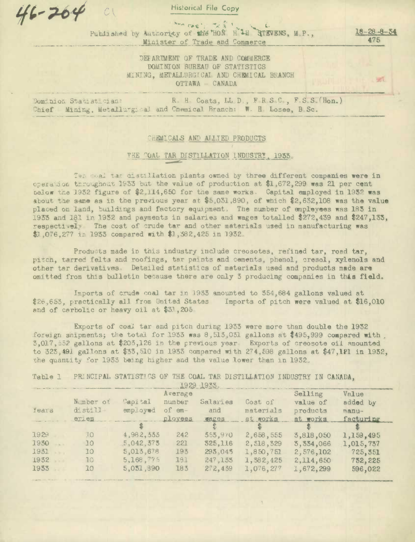$46 - 264$ 

**Historical File Copy** 

ANA CAS' TAS 1 Published by Authority of the HON H 14 GTEVENS, M.P., Minister of Trade and Commerce

 $18 - 28 - 8$ 475

 $6 - 14$ 

DEFARTMENT OF TRADE AND COMMERCE DOMINION BUREAU OF STATISTICS MINING, METALLURGICAL AND CHEMICAL BRANCH OTTAWA - CANADA

R. H Coats, LL.D., F.R.S.C., F.S.S.(Hon.) Dominion Statistician: Chief Mining, Metallurgical and Chemical Branch: W. H. Losee, B.Sc.

### CHEMICALS AND ALLIED PRODUCTS

### THE COAL TAR DISTILLATION INDUSTRY, 1933.

Ten meal tan distillation plants owned by three different companies were in operation throughout 1933 but the value of production at \$1,672,299 was 21 per cent below the 1932 figure of \$2,114,650 for the same works. Capital employed in 1932 was about the same as in the previous year at \$5,031,890, of which \$2,632,108 was the value placed on land, buildings and factory equipment. The number of employees was 183 in 1933 and 181 in 1932 and payments in salaries and wages totalled \$272,439 and \$247,133, respectively The cost of crude tar and other materials used in manufacturing was \$1,076,277 in 1933 compared with \$1,382,425 in 1932.

Products made in this industry include creosotes, refined tar, road tar, pitch, tarred felts and roofings, tar paints and cements, phenol, cresol, xylenols and other tar derivatives. Detailed statistics of materials used and products made are omitted from this bulletin because there are only 3 producing companies in this field.

Imports of crude coal tar in 1933 amounted to 354,684 gallons valued at \$26,653, practically all from United States Imports of pitch were valued at \$16,010 and of carbolic or heavy oil at \$31,205

Exports of coal tar and pitch during 1933 were more than double the 1932 foreign shipments; the total for 1933 was  $8,515,031$  gallons at \$495,999 compared with 3,017,552 gallons at \$203,126 in the previous year. Exports of creosote oil amounted to 323, 191 gallons at \$33, 510 in 1933 compared with 274, 598 gallons at \$47, 121 in 1932, the quantity for 1933 being higher and the value lower than in 1932.

Table 1 PRINCIPAL STATISTICS OF THE COAL TAR DISTILLATION INDUSTRY IN CANADA.

|       |                 |            |          | 1929 1933. |             |             |           |
|-------|-----------------|------------|----------|------------|-------------|-------------|-----------|
|       |                 |            | Average  |            |             | Selling     | Value     |
|       | Number of       | Capital    | number   | Salaries   | Cost of     | value of    | added by  |
| Years | dist11          | employed   | of $em-$ | and        | materials   | products    | $manu-$   |
|       | eries.          |            | ployees  | wages      | at works    | at works    | facturing |
|       |                 |            |          |            |             |             |           |
| 1929  | 30              | 4,982,333  | 242      | 353,970    | 2,658,555   | 3,818,050   | 1,159,495 |
| 1930  | 10 <sup>°</sup> | .5,042,373 | 221      | 325,116    | 2, 318, 329 | 3, 334, 066 | 1,015,737 |
| 1931  | 10              | 5,013,678  | 193      | 295,045    | 1,850,751   | 2,576,102   | 725,351   |
| 1932  | 10 <sup>2</sup> | 5,168,775  | 191      | 247,135    | 1, 382, 425 | 2,114,650   | 732,225   |
| 1933  | 10              | 5,051,890  | 183      | 272, 439   | 1,076,277   | 1,672,299   | 596,022   |
|       |                 |            |          |            |             |             |           |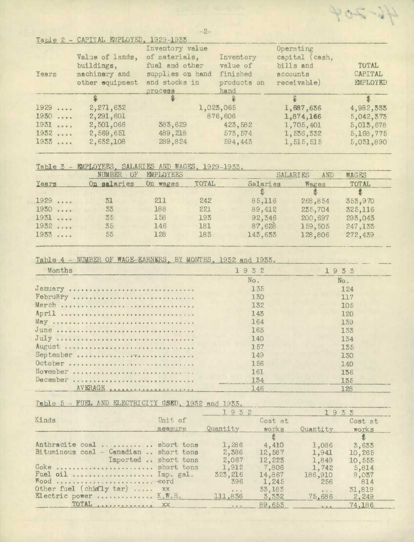|       | Table $S = \text{CFLTHT}$ EMPLOIED, $T$ a $S$ a-Tabb |                  |             |                |              |
|-------|------------------------------------------------------|------------------|-------------|----------------|--------------|
|       |                                                      | Inventory value  |             | Operating      |              |
|       | Value of lands,                                      | of materials,    | Inventory   | capital (cash, |              |
|       | buildings,                                           | fuel and other   | value of    | bills and      | <b>TOTAL</b> |
| Years | machinery and                                        | supplies on hand | finished    | accounts       | CAPITAL      |
|       | other equipment                                      | and stocks in    | products on | receivable)    | EMPLOYED     |
|       |                                                      | process          | hand        |                |              |
|       |                                                      |                  |             |                |              |
| 1929  | 2,271,632                                            |                  | 1,023,065   | 1,687,636      | 4,982,535    |
| 1930  | 2,291,601                                            |                  | 876,606     | 1,874,166      | 5,042,373    |
| 1931  | 2,501,066                                            | 383,629          | 423,582     | 1,705,401      | 5,013,678    |
| 1932  | 2,569,651                                            | 489, 218         | 573, 574    | 1,536,332      | 5,168,775    |
| 1955  | 2,632,108                                            | 289,824          | 594,443     | 1,515,515      | 5,031,890    |
|       |                                                      |                  |             |                |              |

## Table 3 - EMPLOYEES, SALARIES AND WAGES, 1929-1933.

**EREDY ASSESS** 

|       | NUMBER OF   | EMPLOYEES |              |          | <b>SALARIES</b><br>AND | <b>WAGES</b> |
|-------|-------------|-----------|--------------|----------|------------------------|--------------|
| Years | On salaries | On wages  | <b>TOTAL</b> | Salaries | Wages                  | <b>TOTAL</b> |
|       |             |           |              |          |                        |              |
| 1929  | 31          | 211       | 242          | 85,116   | 268,854                | 353,970      |
| 1930  | 33          | 188       | 221          | 89,412   | 235,704                | 325,116      |
| 1931  | 35          | 158       | 193          | 92,346   | 200,697                | 293,043      |
| 1932  | 35          | 146       | 181          | 87,628   | 159,505                | 247,133      |
| 1933  | 55          | 128       | 183          | 143,633  | 128,806                | 272,439      |

### Table 4 - NUMBER OF WAGE-EARNERS, BY MONTHS, 1932 and 1933,

| Months    | 1932 1933 |            |
|-----------|-----------|------------|
|           | No.       | No.        |
| Jamiary   | 135       | 124        |
|           | 130       | 117        |
| March     | 132       | <b>105</b> |
| April     | 143       | 120        |
|           | 164       | 139        |
| June      | 163       | 133        |
|           | 140       | 134        |
| August    | 1.57      | 135        |
| September | 149       | 130        |
| October   | 156       | 140        |
| November  | 161       | 136        |
| December  | 134       | 135        |
|           | 146       | 128        |

Table 5 - FUEL AND ELECTRICITY USED, 1932 and 1933.

|                                        |         | 1932                                                   |         | 1933     |               |
|----------------------------------------|---------|--------------------------------------------------------|---------|----------|---------------|
| Kinds                                  | Unit of |                                                        | Cost at |          | Cost at       |
|                                        | measure | Quantity                                               | works   | Quantity | works         |
|                                        |         |                                                        |         |          | $\frac{2}{3}$ |
| Anthracite coal  short tons            |         | 1,286                                                  | 4,410   | 1,086    | 3,633         |
| Bituminous coal - Canadian  short tons |         | 2,386                                                  | 12,587  | 1,941    | 10,265        |
| Imported  short tons                   |         | 2,067                                                  | 12,223  | 1,849    | 10,555        |
| Coke  short tons                       |         | 1,912                                                  | 7,806   | 1,742    | 5,814         |
| Fuel oil  Imp. gal.                    |         | 323, 216                                               | 14,867  | 186,910  | 9,037         |
| Wood  cord                             |         | 396                                                    | 1,245   | 256      | 814           |
| Other fuel (chiefly tar)  XX           |         | $\begin{array}{ccccc}\bullet&\bullet&\circ\end{array}$ | 33,183  | 0.9.3    | 31,819        |
| Electric power  K.W.H.                 |         | 111,836                                                | 3,332   | 75,686   | 2,249         |
| TOTAL <i>expressioned</i> XX           |         | 0.02                                                   | 89.653  | 0.9.8    | 74,186        |

 $-2-$ 

405-34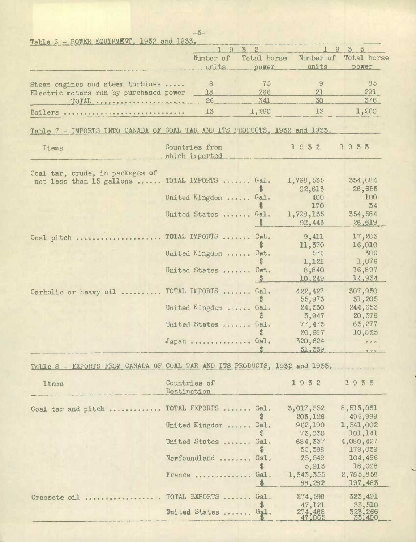| Table $6$ – POWER EQUIPMENT, 1932 and 1933.                                |             |                      |                                                     |                   |                |
|----------------------------------------------------------------------------|-------------|----------------------|-----------------------------------------------------|-------------------|----------------|
|                                                                            |             | 9                    | $\mathbb{S}$<br>$\mathcal{Z}$                       | $\mathbf{1}$<br>9 | 3 <sup>3</sup> |
|                                                                            |             | Number of            | Total horse                                         | Number of         | Total horse    |
|                                                                            |             | units                | power                                               | units             | power          |
| Steam engines and steam turbines                                           |             | $\theta$             | 75                                                  | $\Theta$          | 85             |
| Electric motors run by purchased power                                     |             | 18                   | 266                                                 | 21                | 291            |
| TOTAL                                                                      |             | 26                   | 341                                                 | 30                | 376            |
|                                                                            |             | 13                   | 1,260                                               | 13                | 1,260          |
| Boilers                                                                    |             |                      |                                                     |                   |                |
| Table 7 - IMPORTS INTO CANADA OF COAL TAR AND ITS PRODUCTS, 1932 and 1933. |             |                      |                                                     |                   |                |
|                                                                            |             |                      |                                                     |                   |                |
| Items                                                                      |             | Countries from       |                                                     | 1932              | 1933           |
|                                                                            |             | which imported       |                                                     |                   |                |
|                                                                            |             |                      |                                                     |                   |                |
| Coal tar, crude, in packages of                                            |             |                      |                                                     |                   |                |
| not less than 15 gallons                                                   |             | TOTAL IMPORTS        | Gal.                                                | 1,798,535         | 354,684        |
|                                                                            |             |                      |                                                     | 92,613            | 26,655         |
|                                                                            |             | United Kingdom       | Gal.                                                | 400               | 100            |
|                                                                            |             |                      | S                                                   | 170               | 34             |
|                                                                            |             | United States        | Gal.                                                | 1,798,135         | 354,584        |
|                                                                            |             |                      | \$                                                  | 92,443            | 26,619         |
| Coal pitch                                                                 |             | TOTAL IMPORTS        | $C_{\mathbf{W}}$ <sub><math>\mathbf{t}</math></sub> | 9,411             | 17,283         |
|                                                                            |             |                      | S                                                   | 11,370            | 16,010         |
|                                                                            |             | United Kingdom       | $C_{\mathbf{W}}$ <sub><math>\mathbf{t}</math></sub> | 571               | 386            |
|                                                                            |             |                      | \$                                                  | 1,121             | 1,076          |
|                                                                            |             | United States        | Cwt.                                                | 8,840             | 16,897         |
|                                                                            |             |                      | $\frac{3}{2}$                                       | 10,249            | 14,934         |
|                                                                            |             | TOTAL IMPORTS        | Gal.                                                | 422, 427          | 307,930        |
| Carbolic or heavy oil                                                      |             |                      | \$                                                  | 55,973            | 31,205         |
|                                                                            |             | United Kingdom       | Gal.                                                | 24,330            | 244,653        |
|                                                                            |             |                      | \$                                                  | 3,947             | 20,376         |
|                                                                            |             | United States        | Gal.                                                | 77,475            | 63,277         |
|                                                                            |             |                      | \$                                                  | 20,687            | 10,825         |
|                                                                            |             | Japan Gal.           |                                                     | 320,624           | 0 0 0          |
|                                                                            |             |                      |                                                     | 31,339            | 0.9.0          |
|                                                                            |             |                      |                                                     |                   |                |
| Table 8 - EXPORTS FROM CANADA OF COAL TAR AND ITS PRODUCTS, 1932 and 1933. |             |                      |                                                     |                   |                |
| Items                                                                      |             | Countries of         |                                                     | 1932              | 1933           |
|                                                                            | Destination |                      |                                                     |                   |                |
|                                                                            |             |                      |                                                     |                   |                |
| Coal tar and pitch                                                         |             | TOTAL EXPORTS  Gal.  |                                                     | 3,017,552         | 8,513,031      |
|                                                                            |             |                      | S                                                   | 203,126           | 495,999        |
|                                                                            |             | United Kingdom  Gal. |                                                     | 962,190           | 1,541,002      |
|                                                                            |             |                      | £                                                   | 73,030            | 101,141        |
|                                                                            |             | United States  Gal.  |                                                     | 684,337           | 4,080,427      |
|                                                                            |             |                      | £                                                   | 35,598            | 179,039        |
|                                                                            |             | Newfoundland  Gal.   |                                                     | 25,549            | 104,496        |
|                                                                            |             |                      | \$                                                  | 5,913             | 18,098         |
|                                                                            |             | France               | Gal.                                                | 1,343,355         | 2,785,858      |
|                                                                            |             |                      | $\ddot{\bullet}$                                    | 88,282            | 197,483        |
| Creosote oil                                                               |             | TOTAL EXPORTS  Gal.  |                                                     | 274,598           | 325,491        |
|                                                                            |             |                      | \$                                                  | 47,121            | 33,510         |
|                                                                            |             | United States  Gal.  |                                                     | 274,488           | 323,266        |
|                                                                            |             |                      |                                                     |                   | 33,400         |

-3-